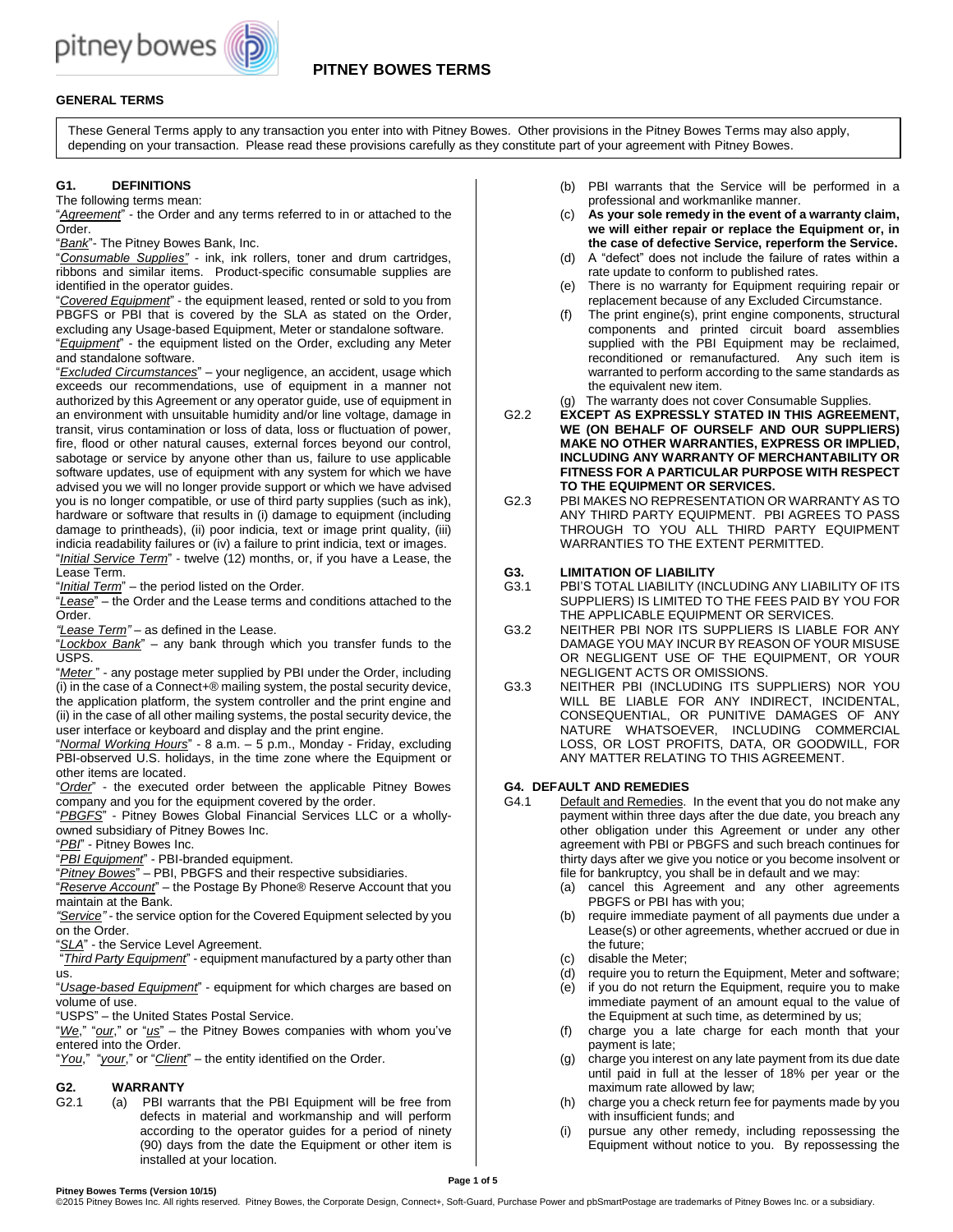

# **GENERAL TERMS**

These General Terms apply to any transaction you enter into with Pitney Bowes. Other provisions in the Pitney Bowes Terms may also apply, depending on your transaction. Please read these provisions carefully as they constitute part of your agreement with Pitney Bowes.

### **G1. DEFINITIONS**

The following terms mean:

"*Agreement*" - the Order and any terms referred to in or attached to the Order.

"*Bank*"- The Pitney Bowes Bank, Inc.

"*Consumable Supplies"* - ink, ink rollers, toner and drum cartridges, ribbons and similar items. Product-specific consumable supplies are identified in the operator guides.

"*Covered Equipment*" - the equipment leased, rented or sold to you from PBGFS or PBI that is covered by the SLA as stated on the Order, excluding any Usage-based Equipment, Meter or standalone software. "*Equipment*" - the equipment listed on the Order, excluding any Meter and standalone software.

"*Excluded Circumstances*" – your negligence, an accident, usage which exceeds our recommendations, use of equipment in a manner not authorized by this Agreement or any operator guide, use of equipment in an environment with unsuitable humidity and/or line voltage, damage in transit, virus contamination or loss of data, loss or fluctuation of power, fire, flood or other natural causes, external forces beyond our control, sabotage or service by anyone other than us, failure to use applicable software updates, use of equipment with any system for which we have advised you we will no longer provide support or which we have advised you is no longer compatible, or use of third party supplies (such as ink), hardware or software that results in (i) damage to equipment (including damage to printheads), (ii) poor indicia, text or image print quality, (iii) indicia readability failures or (iv) a failure to print indicia, text or images. "*Initial Service Term*" - twelve (12) months, or, if you have a Lease, the Lease Term.

"*Initial Term*" – the period listed on the Order.

"*Lease*" – the Order and the Lease terms and conditions attached to the Order.

*"Lease Term"* – as defined in the Lease.

"*Lockbox Bank*" – any bank through which you transfer funds to the USPS.

"*Meter* " - any postage meter supplied by PBI under the Order, including (i) in the case of a Connect+® mailing system, the postal security device, the application platform, the system controller and the print engine and (ii) in the case of all other mailing systems, the postal security device, the user interface or keyboard and display and the print engine.

"*Normal Working Hours*" - 8 a.m. – 5 p.m., Monday - Friday, excluding PBI-observed U.S. holidays, in the time zone where the Equipment or other items are located.

"*Order*" - the executed order between the applicable Pitney Bowes company and you for the equipment covered by the order.

"*PBGFS*" - Pitney Bowes Global Financial Services LLC or a whollyowned subsidiary of Pitney Bowes Inc.

"*PBI*" - Pitney Bowes Inc.

"*PBI Equipment*" - PBI-branded equipment.

"*Pitney Bowes*" – PBI, PBGFS and their respective subsidiaries.

"*Reserve Account*" – the Postage By Phone® Reserve Account that you maintain at the Bank.

*"Service"* - the service option for the Covered Equipment selected by you on the Order.

"*SLA*" - the Service Level Agreement.

"*Third Party Equipment*" - equipment manufactured by a party other than us.

"*Usage-based Equipment*" - equipment for which charges are based on volume of use.

"USPS" – the United States Postal Service.

"*We*," "*our*," or "*us*" – the Pitney Bowes companies with whom you've entered into the Order.

"*You*," "*your*," or "*Client*" – the entity identified on the Order.

# **G2. WARRANTY**

(a) PBI warrants that the PBI Equipment will be free from defects in material and workmanship and will perform according to the operator guides for a period of ninety (90) days from the date the Equipment or other item is installed at your location.

- (b) PBI warrants that the Service will be performed in a professional and workmanlike manner.
- (c) **As your sole remedy in the event of a warranty claim, we will either repair or replace the Equipment or, in the case of defective Service, reperform the Service.**
- (d) A "defect" does not include the failure of rates within a rate update to conform to published rates.
- (e) There is no warranty for Equipment requiring repair or replacement because of any Excluded Circumstance.
- (f) The print engine(s), print engine components, structural components and printed circuit board assemblies supplied with the PBI Equipment may be reclaimed, reconditioned or remanufactured. Any such item is warranted to perform according to the same standards as the equivalent new item.
- (g) The warranty does not cover Consumable Supplies.
- G2.2 **EXCEPT AS EXPRESSLY STATED IN THIS AGREEMENT, WE (ON BEHALF OF OURSELF AND OUR SUPPLIERS) MAKE NO OTHER WARRANTIES, EXPRESS OR IMPLIED, INCLUDING ANY WARRANTY OF MERCHANTABILITY OR FITNESS FOR A PARTICULAR PURPOSE WITH RESPECT TO THE EQUIPMENT OR SERVICES.**
- G2.3 PBI MAKES NO REPRESENTATION OR WARRANTY AS TO ANY THIRD PARTY EQUIPMENT. PBI AGREES TO PASS THROUGH TO YOU ALL THIRD PARTY EQUIPMENT WARRANTIES TO THE EXTENT PERMITTED.
- **G3. LIMITATION OF LIABILITY**
- G3.1 PBI'S TOTAL LIABILITY (INCLUDING ANY LIABILITY OF ITS SUPPLIERS) IS LIMITED TO THE FEES PAID BY YOU FOR THE APPLICABLE EQUIPMENT OR SERVICES.
- G3.2 NEITHER PBI NOR ITS SUPPLIERS IS LIABLE FOR ANY DAMAGE YOU MAY INCUR BY REASON OF YOUR MISUSE OR NEGLIGENT USE OF THE EQUIPMENT, OR YOUR NEGLIGENT ACTS OR OMISSIONS.
- G3.3 NEITHER PBI (INCLUDING ITS SUPPLIERS) NOR YOU WILL BE LIABLE FOR ANY INDIRECT, INCIDENTAL, CONSEQUENTIAL, OR PUNITIVE DAMAGES OF ANY NATURE WHATSOEVER, INCLUDING COMMERCIAL LOSS, OR LOST PROFITS, DATA, OR GOODWILL, FOR ANY MATTER RELATING TO THIS AGREEMENT.

### **G4. DEFAULT AND REMEDIES**

- G4.1 Default and Remedies. In the event that you do not make any payment within three days after the due date, you breach any other obligation under this Agreement or under any other agreement with PBI or PBGFS and such breach continues for thirty days after we give you notice or you become insolvent or file for bankruptcy, you shall be in default and we may:
	- (a) cancel this Agreement and any other agreements PBGFS or PBI has with you;
	- (b) require immediate payment of all payments due under a Lease(s) or other agreements, whether accrued or due in the future;
	- (c) disable the Meter;
	- (d) require you to return the Equipment, Meter and software;
	- (e) if you do not return the Equipment, require you to make immediate payment of an amount equal to the value of the Equipment at such time, as determined by us;
	- (f) charge you a late charge for each month that your payment is late;
	- (g) charge you interest on any late payment from its due date until paid in full at the lesser of 18% per year or the maximum rate allowed by law;
	- (h) charge you a check return fee for payments made by you with insufficient funds; and
	- (i) pursue any other remedy, including repossessing the Equipment without notice to you. By repossessing the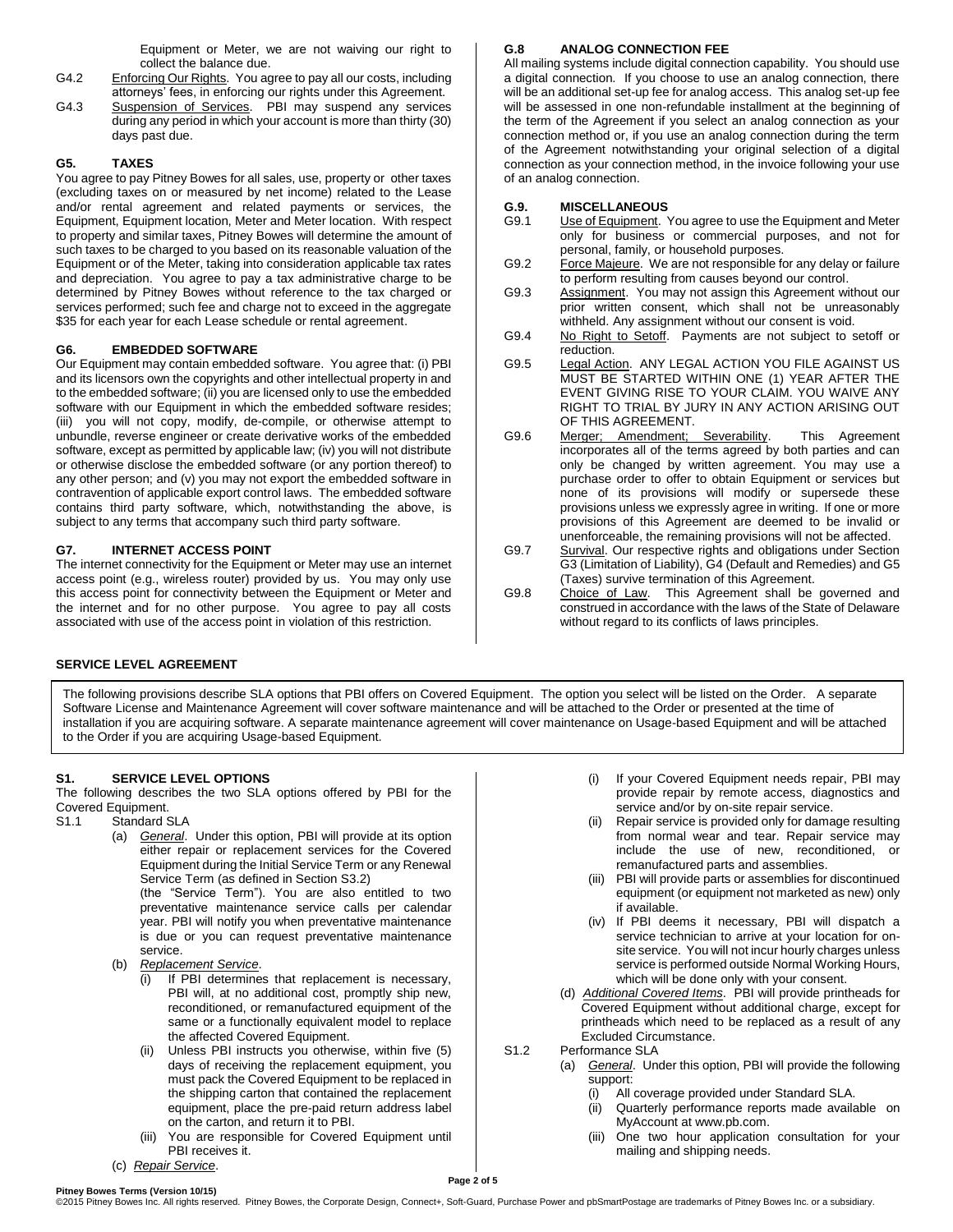Equipment or Meter, we are not waiving our right to collect the balance due.

- G4.2 Enforcing Our Rights. You agree to pay all our costs, including attorneys' fees, in enforcing our rights under this Agreement.
- G4.3 Suspension of Services. PBI may suspend any services during any period in which your account is more than thirty (30) days past due.

# **G5. TAXES**

You agree to pay Pitney Bowes for all sales, use, property or other taxes (excluding taxes on or measured by net income) related to the Lease and/or rental agreement and related payments or services, the Equipment, Equipment location, Meter and Meter location. With respect to property and similar taxes, Pitney Bowes will determine the amount of such taxes to be charged to you based on its reasonable valuation of the Equipment or of the Meter, taking into consideration applicable tax rates and depreciation. You agree to pay a tax administrative charge to be determined by Pitney Bowes without reference to the tax charged or services performed; such fee and charge not to exceed in the aggregate \$35 for each year for each Lease schedule or rental agreement.

# **G6. EMBEDDED SOFTWARE**

Our Equipment may contain embedded software. You agree that: (i) PBI and its licensors own the copyrights and other intellectual property in and to the embedded software; (ii) you are licensed only to use the embedded software with our Equipment in which the embedded software resides; (iii) you will not copy, modify, de-compile, or otherwise attempt to unbundle, reverse engineer or create derivative works of the embedded software, except as permitted by applicable law; (iv) you will not distribute or otherwise disclose the embedded software (or any portion thereof) to any other person; and (v) you may not export the embedded software in contravention of applicable export control laws. The embedded software contains third party software, which, notwithstanding the above, is subject to any terms that accompany such third party software.

# **G7. INTERNET ACCESS POINT**

The internet connectivity for the Equipment or Meter may use an internet access point (e.g., wireless router) provided by us. You may only use this access point for connectivity between the Equipment or Meter and the internet and for no other purpose. You agree to pay all costs associated with use of the access point in violation of this restriction.

# **G.8 ANALOG CONNECTION FEE**

All mailing systems include digital connection capability. You should use a digital connection. If you choose to use an analog connection, there will be an additional set-up fee for analog access. This analog set-up fee will be assessed in one non-refundable installment at the beginning of the term of the Agreement if you select an analog connection as your connection method or, if you use an analog connection during the term of the Agreement notwithstanding your original selection of a digital connection as your connection method, in the invoice following your use of an analog connection.

- **G.9. MISCELLANEOUS** Use of Equipment. You agree to use the Equipment and Meter only for business or commercial purposes, and not for personal, family, or household purposes.
- G9.2 Force Majeure. We are not responsible for any delay or failure to perform resulting from causes beyond our control.
- G9.3 Assignment. You may not assign this Agreement without our prior written consent, which shall not be unreasonably withheld. Any assignment without our consent is void.
- G9.4 No Right to Setoff. Payments are not subject to setoff or reduction.
- G9.5 Legal Action. ANY LEGAL ACTION YOU FILE AGAINST US MUST BE STARTED WITHIN ONE (1) YEAR AFTER THE EVENT GIVING RISE TO YOUR CLAIM. YOU WAIVE ANY RIGHT TO TRIAL BY JURY IN ANY ACTION ARISING OUT OF THIS AGREEMENT.
- G9.6 Merger; Amendment; Severability. This Agreement incorporates all of the terms agreed by both parties and can only be changed by written agreement. You may use a purchase order to offer to obtain Equipment or services but none of its provisions will modify or supersede these provisions unless we expressly agree in writing. If one or more provisions of this Agreement are deemed to be invalid or unenforceable, the remaining provisions will not be affected.
- G9.7 Survival. Our respective rights and obligations under Section G3 (Limitation of Liability), G4 (Default and Remedies) and G5 (Taxes) survive termination of this Agreement.
- G9.8 Choice of Law. This Agreement shall be governed and construed in accordance with the laws of the State of Delaware without regard to its conflicts of laws principles.

# **SERVICE LEVEL AGREEMENT**

The following provisions describe SLA options that PBI offers on Covered Equipment. The option you select will be listed on the Order. A separate Software License and Maintenance Agreement will cover software maintenance and will be attached to the Order or presented at the time of installation if you are acquiring software. A separate maintenance agreement will cover maintenance on Usage-based Equipment and will be attached to the Order if you are acquiring Usage-based Equipment.

### **S1. SERVICE LEVEL OPTIONS**

The following describes the two SLA options offered by PBI for the Covered Equipment.

- S1.1 Standard SLA
	- (a) *General*. Under this option, PBI will provide at its option either repair or replacement services for the Covered Equipment during the Initial Service Term or any Renewal Service Term (as defined in Section S3.2) (the "Service Term"). You are also entitled to two preventative maintenance service calls per calendar year. PBI will notify you when preventative maintenance

is due or you can request preventative maintenance service.

- (b) *Replacement Service*.
	- (i) If PBI determines that replacement is necessary, PBI will, at no additional cost, promptly ship new, reconditioned, or remanufactured equipment of the same or a functionally equivalent model to replace the affected Covered Equipment.
	- (ii) Unless PBI instructs you otherwise, within five (5) days of receiving the replacement equipment, you must pack the Covered Equipment to be replaced in the shipping carton that contained the replacement equipment, place the pre-paid return address label on the carton, and return it to PBI.
	- (iii) You are responsible for Covered Equipment until PBI receives it.
- (c) *Repair Service*.
- (i) If your Covered Equipment needs repair, PBI may provide repair by remote access, diagnostics and service and/or by on-site repair service.
- (ii) Repair service is provided only for damage resulting from normal wear and tear. Repair service may include the use of new, reconditioned, or remanufactured parts and assemblies.
- (iii) PBI will provide parts or assemblies for discontinued equipment (or equipment not marketed as new) only if available.
- (iv) If PBI deems it necessary, PBI will dispatch a service technician to arrive at your location for onsite service. You will not incur hourly charges unless service is performed outside Normal Working Hours, which will be done only with your consent.
- (d) *Additional Covered Items*. PBI will provide printheads for Covered Equipment without additional charge, except for printheads which need to be replaced as a result of any Excluded Circumstance.
- S1.2 Performance SLA
	- (a) *General*. Under this option, PBI will provide the following support:
		- (i) All coverage provided under Standard SLA.
		- (ii) Quarterly performance reports made available on MyAccount at [www.pb.com.](http://www.pb.com/)
		- (iii) One two hour application consultation for your mailing and shipping needs.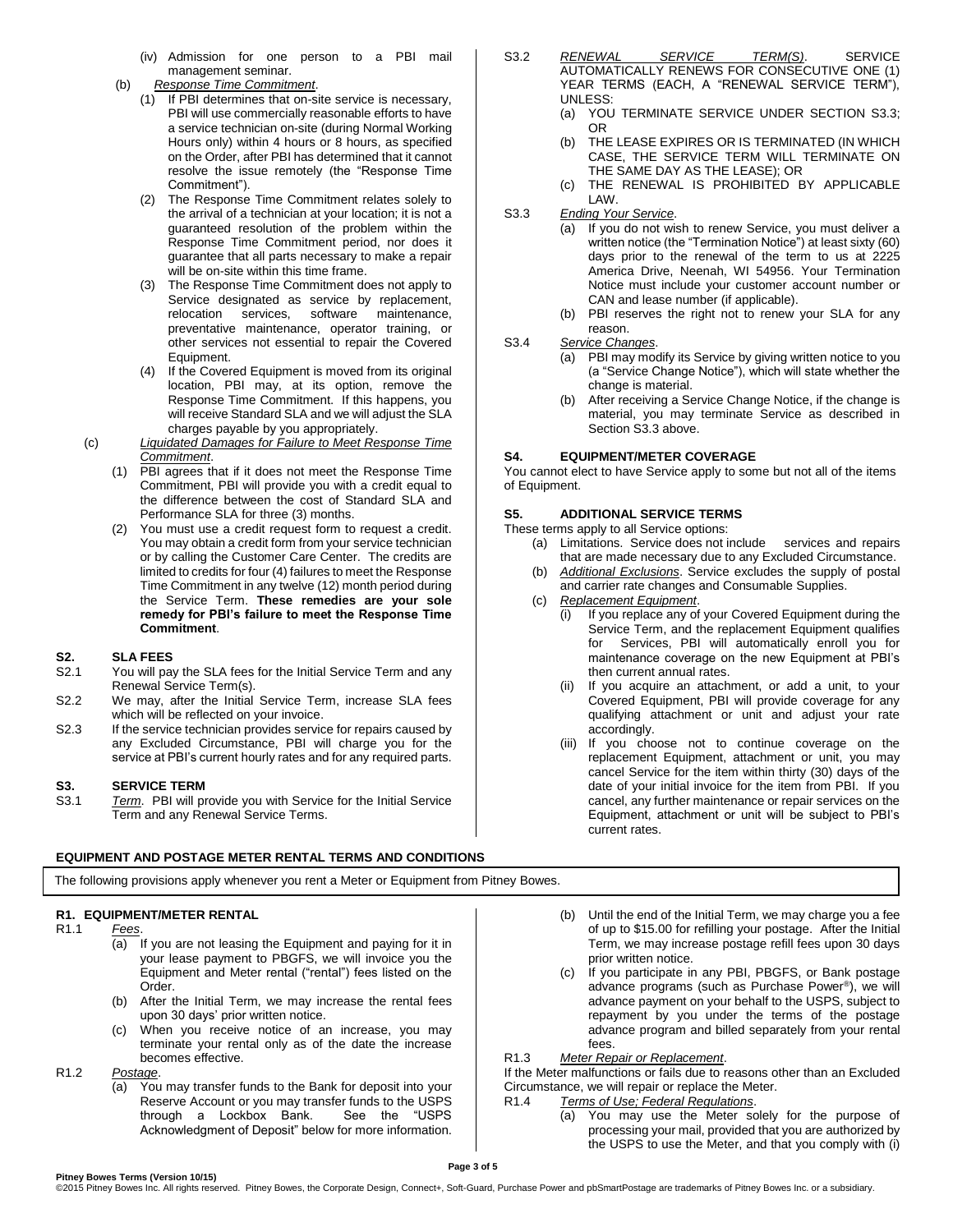- (iv) Admission for one person to a PBI mail management seminar.
- (b) *Response Time Commitment*.
	- (1) If PBI determines that on-site service is necessary, PBI will use commercially reasonable efforts to have a service technician on-site (during Normal Working Hours only) within 4 hours or 8 hours, as specified on the Order, after PBI has determined that it cannot resolve the issue remotely (the "Response Time Commitment").
	- (2) The Response Time Commitment relates solely to the arrival of a technician at your location; it is not a guaranteed resolution of the problem within the Response Time Commitment period, nor does it guarantee that all parts necessary to make a repair will be on-site within this time frame.
	- (3) The Response Time Commitment does not apply to Service designated as service by replacement, relocation services, software maintenance, preventative maintenance, operator training, or other services not essential to repair the Covered Equipment.
	- (4) If the Covered Equipment is moved from its original location, PBI may, at its option, remove the Response Time Commitment. If this happens, you will receive Standard SLA and we will adjust the SLA charges payable by you appropriately.
- (c) *Liquidated Damages for Failure to Meet Response Time Commitment*.
	- (1) PBI agrees that if it does not meet the Response Time Commitment, PBI will provide you with a credit equal to the difference between the cost of Standard SLA and Performance SLA for three (3) months.
	- (2) You must use a credit request form to request a credit. You may obtain a credit form from your service technician or by calling the Customer Care Center. The credits are limited to credits for four (4) failures to meet the Response Time Commitment in any twelve (12) month period during the Service Term. **These remedies are your sole remedy for PBI's failure to meet the Response Time Commitment**.

### **S2. SLA FEES**

- S2.1 You will pay the SLA fees for the Initial Service Term and any Renewal Service Term(s).
- S2.2 We may, after the Initial Service Term, increase SLA fees which will be reflected on your invoice.
- S2.3 If the service technician provides service for repairs caused by any Excluded Circumstance, PBI will charge you for the service at PBI's current hourly rates and for any required parts.

### **S3. SERVICE TERM**

S3.1 *Term*. PBI will provide you with Service for the Initial Service Term and any Renewal Service Terms.

# **EQUIPMENT AND POSTAGE METER RENTAL TERMS AND CONDITIONS**

- S3.2 *RENEWAL SERVICE TERM(S)*. SERVICE AUTOMATICALLY RENEWS FOR CONSECUTIVE ONE (1) YEAR TERMS (EACH, A "RENEWAL SERVICE TERM"), UNLESS:
	- (a) YOU TERMINATE SERVICE UNDER SECTION S3.3; OR
	- (b) THE LEASE EXPIRES OR IS TERMINATED (IN WHICH CASE, THE SERVICE TERM WILL TERMINATE ON THE SAME DAY AS THE LEASE); OR
	- (c) THE RENEWAL IS PROHIBITED BY APPLICABLE LAW.
- S3.3 *Ending Your Service*.
	- (a) If you do not wish to renew Service, you must deliver a written notice (the "Termination Notice") at least sixty (60) days prior to the renewal of the term to us at 2225 America Drive, Neenah, WI 54956. Your Termination Notice must include your customer account number or CAN and lease number (if applicable).
	- (b) PBI reserves the right not to renew your SLA for any reason.

S3.4 *Service Changes*.

- (a) PBI may modify its Service by giving written notice to you (a "Service Change Notice"), which will state whether the change is material.
- (b) After receiving a Service Change Notice, if the change is material, you may terminate Service as described in Section S3.3 above.

# **S4. EQUIPMENT/METER COVERAGE**

You cannot elect to have Service apply to some but not all of the items of Equipment.

### **S5. ADDITIONAL SERVICE TERMS**

- These terms apply to all Service options:
	- (a) Limitations. Service does not include services and repairs that are made necessary due to any Excluded Circumstance.
	- (b) *Additional Exclusions*. Service excludes the supply of postal and carrier rate changes and Consumable Supplies.
	- (c) *Replacement Equipment*.
		- (i) If you replace any of your Covered Equipment during the Service Term, and the replacement Equipment qualifies for Services, PBI will automatically enroll you for maintenance coverage on the new Equipment at PBI's then current annual rates.
		- (ii) If you acquire an attachment, or add a unit, to your Covered Equipment, PBI will provide coverage for any qualifying attachment or unit and adjust your rate accordingly.
		- (iii) If you choose not to continue coverage on the replacement Equipment, attachment or unit, you may cancel Service for the item within thirty (30) days of the date of your initial invoice for the item from PBI. If you cancel, any further maintenance or repair services on the Equipment, attachment or unit will be subject to PBI's current rates.

The following provisions apply whenever you rent a Meter or Equipment from Pitney Bowes.

# **R1. EQUIPMENT/METER RENTAL**

- $Fees.$ 
	- (a) If you are not leasing the Equipment and paying for it in your lease payment to PBGFS, we will invoice you the Equipment and Meter rental ("rental") fees listed on the Order.
	- (b) After the Initial Term, we may increase the rental fees upon 30 days' prior written notice.
	- When you receive notice of an increase, you may terminate your rental only as of the date the increase becomes effective.

R1.2 *Postage*.

(a) You may transfer funds to the Bank for deposit into your Reserve Account or you may transfer funds to the USPS through a Lockbox Bank. See the "USPS Acknowledgment of Deposit" below for more information.

- (b) Until the end of the Initial Term, we may charge you a fee of up to \$15.00 for refilling your postage. After the Initial Term, we may increase postage refill fees upon 30 days prior written notice.
- (c) If you participate in any PBI, PBGFS, or Bank postage advance programs (such as Purchase Power® ), we will advance payment on your behalf to the USPS, subject to repayment by you under the terms of the postage advance program and billed separately from your rental fees.

R1.3 *Meter Repair or Replacement*.

If the Meter malfunctions or fails due to reasons other than an Excluded Circumstance, we will repair or replace the Meter.

- R1.4 *Terms of Use; Federal Regulations*.
	- (a) You may use the Meter solely for the purpose of processing your mail, provided that you are authorized by the USPS to use the Meter, and that you comply with (i)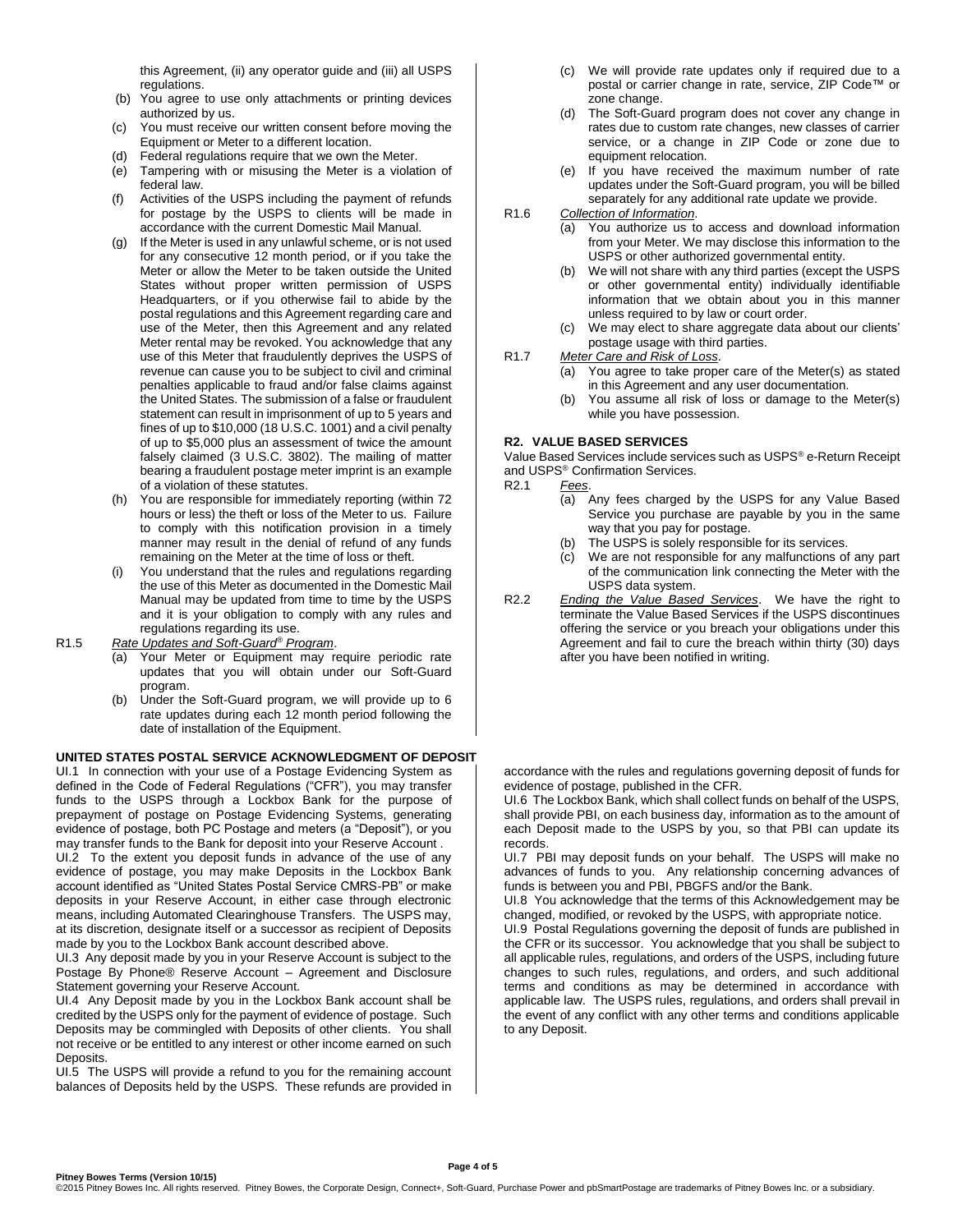this Agreement, (ii) any operator guide and (iii) all USPS regulations.

- (b) You agree to use only attachments or printing devices authorized by us.
- (c) You must receive our written consent before moving the Equipment or Meter to a different location.
- (d) Federal regulations require that we own the Meter.
- (e) Tampering with or misusing the Meter is a violation of federal law.
- (f) Activities of the USPS including the payment of refunds for postage by the USPS to clients will be made in accordance with the current Domestic Mail Manual.
- (g) If the Meter is used in any unlawful scheme, or is not used for any consecutive 12 month period, or if you take the Meter or allow the Meter to be taken outside the United States without proper written permission of USPS Headquarters, or if you otherwise fail to abide by the postal regulations and this Agreement regarding care and use of the Meter, then this Agreement and any related Meter rental may be revoked. You acknowledge that any use of this Meter that fraudulently deprives the USPS of revenue can cause you to be subject to civil and criminal penalties applicable to fraud and/or false claims against the United States. The submission of a false or fraudulent statement can result in imprisonment of up to 5 years and fines of up to \$10,000 (18 U.S.C. 1001) and a civil penalty of up to \$5,000 plus an assessment of twice the amount falsely claimed (3 U.S.C. 3802). The mailing of matter bearing a fraudulent postage meter imprint is an example of a violation of these statutes.
- (h) You are responsible for immediately reporting (within 72 hours or less) the theft or loss of the Meter to us. Failure to comply with this notification provision in a timely manner may result in the denial of refund of any funds remaining on the Meter at the time of loss or theft.
- (i) You understand that the rules and regulations regarding the use of this Meter as documented in the Domestic Mail Manual may be updated from time to time by the USPS and it is your obligation to comply with any rules and regulations regarding its use.
- R1.5 *Rate Updates and Soft-Guard® Program*.
	- (a) Your Meter or Equipment may require periodic rate updates that you will obtain under our Soft-Guard program.
	- (b) Under the Soft-Guard program, we will provide up to 6 rate updates during each 12 month period following the date of installation of the Equipment.

#### **UNITED STATES POSTAL SERVICE ACKNOWLEDGMENT OF DEPOSIT**

UI.1 In connection with your use of a Postage Evidencing System as defined in the Code of Federal Regulations ("CFR"), you may transfer funds to the USPS through a Lockbox Bank for the purpose of prepayment of postage on Postage Evidencing Systems, generating evidence of postage, both PC Postage and meters (a "Deposit"), or you may transfer funds to the Bank for deposit into your Reserve Account .

UI.2 To the extent you deposit funds in advance of the use of any evidence of postage, you may make Deposits in the Lockbox Bank account identified as "United States Postal Service CMRS-PB" or make deposits in your Reserve Account, in either case through electronic means, including Automated Clearinghouse Transfers. The USPS may, at its discretion, designate itself or a successor as recipient of Deposits made by you to the Lockbox Bank account described above.

UI.3 Any deposit made by you in your Reserve Account is subject to the Postage By Phone® Reserve Account – Agreement and Disclosure Statement governing your Reserve Account.

UI.4 Any Deposit made by you in the Lockbox Bank account shall be credited by the USPS only for the payment of evidence of postage. Such Deposits may be commingled with Deposits of other clients. You shall not receive or be entitled to any interest or other income earned on such Deposits.

UI.5 The USPS will provide a refund to you for the remaining account balances of Deposits held by the USPS. These refunds are provided in

- (c) We will provide rate updates only if required due to a postal or carrier change in rate, service, ZIP Code™ or zone change.
- (d) The Soft-Guard program does not cover any change in rates due to custom rate changes, new classes of carrier service, or a change in ZIP Code or zone due to equipment relocation.
- (e) If you have received the maximum number of rate updates under the Soft-Guard program, you will be billed separately for any additional rate update we provide.
- R1.6 *Collection of Information*.
	- (a) You authorize us to access and download information from your Meter. We may disclose this information to the USPS or other authorized governmental entity.
	- (b) We will not share with any third parties (except the USPS or other governmental entity) individually identifiable information that we obtain about you in this manner unless required to by law or court order.
	- (c) We may elect to share aggregate data about our clients' postage usage with third parties.
- R1.7 *Meter Care and Risk of Loss*.
	- (a) You agree to take proper care of the Meter(s) as stated in this Agreement and any user documentation.
	- (b) You assume all risk of loss or damage to the Meter(s) while you have possession.

#### **R2. VALUE BASED SERVICES**

Value Based Services include services such as USPS® e-Return Receipt and USPS<sup>®</sup> Confirmation Services.<br>R2.1 Fees.

- Fees.
	- (a) Any fees charged by the USPS for any Value Based Service you purchase are payable by you in the same way that you pay for postage.
	- (b) The USPS is solely responsible for its services.
	- (c) We are not responsible for any malfunctions of any part of the communication link connecting the Meter with the USPS data system.
- R2.2 *Ending the Value Based Services*. We have the right to terminate the Value Based Services if the USPS discontinues offering the service or you breach your obligations under this Agreement and fail to cure the breach within thirty (30) days after you have been notified in writing.

accordance with the rules and regulations governing deposit of funds for evidence of postage, published in the CFR.

UI.6 The Lockbox Bank, which shall collect funds on behalf of the USPS, shall provide PBI, on each business day, information as to the amount of each Deposit made to the USPS by you, so that PBI can update its records.

UI.7 PBI may deposit funds on your behalf. The USPS will make no advances of funds to you. Any relationship concerning advances of funds is between you and PBI, PBGFS and/or the Bank.

UI.8 You acknowledge that the terms of this Acknowledgement may be changed, modified, or revoked by the USPS, with appropriate notice.

UI.9 Postal Regulations governing the deposit of funds are published in the CFR or its successor. You acknowledge that you shall be subject to all applicable rules, regulations, and orders of the USPS, including future changes to such rules, regulations, and orders, and such additional terms and conditions as may be determined in accordance with applicable law. The USPS rules, regulations, and orders shall prevail in the event of any conflict with any other terms and conditions applicable to any Deposit.

**Pitney Bowes Terms (Version 10/15)**